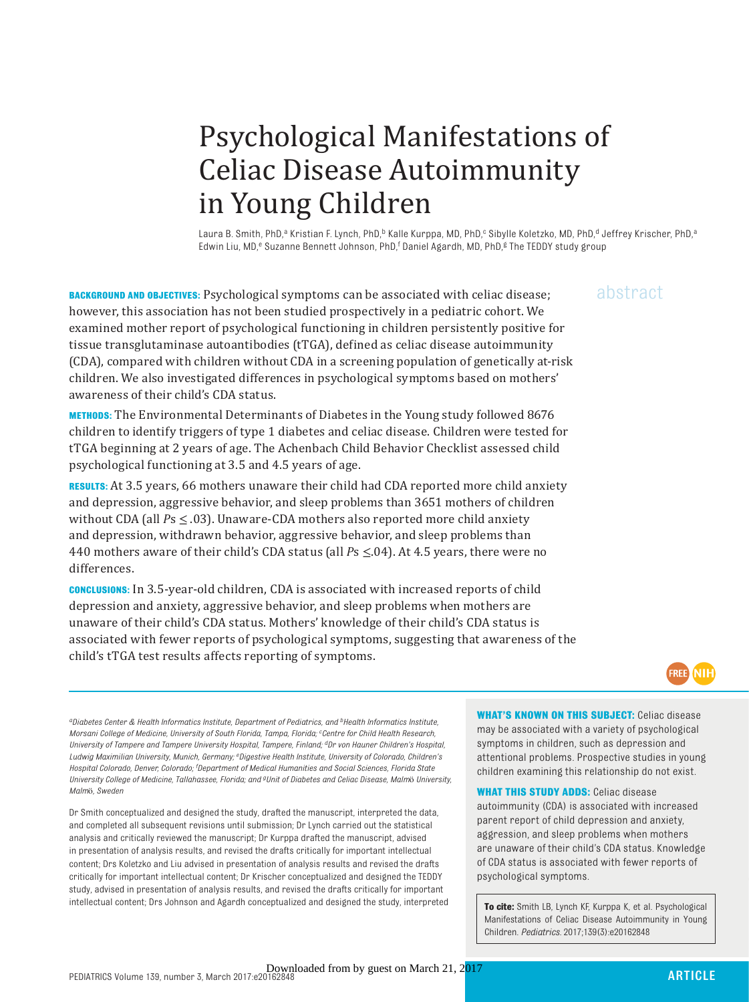## Psychological Manifestations of Celiac Disease Autoimmunity in Young Children

Laura B. Smith, PhD,ª Kristian F. Lynch, PhD,ʰ Kalle Kurppa, MD, PhD,º Sibylle Koletzko, MD, PhD,ª Jeffrey Krischer, PhD,ª Edwin Liu, MD,<sup>e</sup> Suzanne Bennett Johnson, PhD,<sup>f</sup> Daniel Agardh, MD, PhD,<sup>g</sup> The TEDDY study group

**BACKGROUND AND OBJECTIVES:** Psychological symptoms can be associated with celiac disease; all abstract however, this association has not been studied prospectively in a pediatric cohort. We examined mother report of psychological functioning in children persistently positive for tissue transglutaminase autoantibodies (tTGA), defined as celiac disease autoimmunity (CDA), compared with children without CDA in a screening population of genetically at-risk children. We also investigated differences in psychological symptoms based on mothers' awareness of their child's CDA status.

**METHODS:** The Environmental Determinants of Diabetes in the Young study followed 8676 children to identify triggers of type 1 diabetes and celiac disease. Children were tested for tTGA beginning at 2 years of age. The Achenbach Child Behavior Checklist assessed child psychological functioning at 3.5 and 4.5 years of age.

**RESULTS:** At 3.5 years, 66 mothers unaware their child had CDA reported more child anxiety and depression, aggressive behavior, and sleep problems than 3651 mothers of children without CDA (all *P*s ≤ .03). Unaware-CDA mothers also reported more child anxiety and depression, withdrawn behavior, aggressive behavior, and sleep problems than 440 mothers aware of their child's CDA status (all *P*s ≤.04). At 4.5 years, there were no differences.

**CONCLUSIONS:** In 3.5-year-old children, CDA is associated with increased reports of child depression and anxiety, aggressive behavior, and sleep problems when mothers are unaware of their child's CDA status. Mothers' knowledge of their child's CDA status is associated with fewer reports of psychological symptoms, suggesting that awareness of the child's tTGA test results affects reporting of symptoms.



 *aDiabetes Center & Health Informatics Institute, Department of Pediatrics, and bHealth Informatics Institute, Morsani College of Medicine, University of South Florida, Tampa, Florida; c Centre for Child Health Research, University of Tampere and Tampere University Hospital, Tampere, Finland; dDr von Hauner Children's Hospital, Ludwig Maximilian University, Munich, Germany; eDigestive Health Institute, University of Colorado, Children's Hospital Colorado, Denver, Colorado; f Department of Medical Humanities and Social Sciences, Florida State University College of Medicine, Tallahassee, Florida; and gUnit of Diabetes and Celiac Disease, Malm*ö *University, Malm*ö*, Sweden*

Dr Smith conceptualized and designed the study, drafted the manuscript, interpreted the data, and completed all subsequent revisions until submission; Dr Lynch carried out the statistical analysis and critically reviewed the manuscript; Dr Kurppa drafted the manuscript, advised in presentation of analysis results, and revised the drafts critically for important intellectual content; Drs Koletzko and Liu advised in presentation of analysis results and revised the drafts critically for important intellectual content; Dr Krischer conceptualized and designed the TEDDY study, advised in presentation of analysis results, and revised the drafts critically for important intellectual content; Drs Johnson and Agardh conceptualized and designed the study, interpreted **WHAT'S KNOWN ON THIS SUBJECT:** Celiac disease may be associated with a variety of psychological symptoms in children, such as depression and attentional problems. Prospective studies in young children examining this relationship do not exist.

**WHAT THIS STUDY ADDS:** Celiac disease autoimmunity (CDA) is associated with increased parent report of child depression and anxiety, aggression, and sleep problems when mothers are unaware of their child's CDA status. Knowledge of CDA status is associated with fewer reports of psychological symptoms.

**To cite:** Smith LB, Lynch KF, Kurppa K, et al. Psychological Manifestations of Celiac Disease Autoimmunity in Young Children. *Pediatrics.* 2017;139(3):e20162848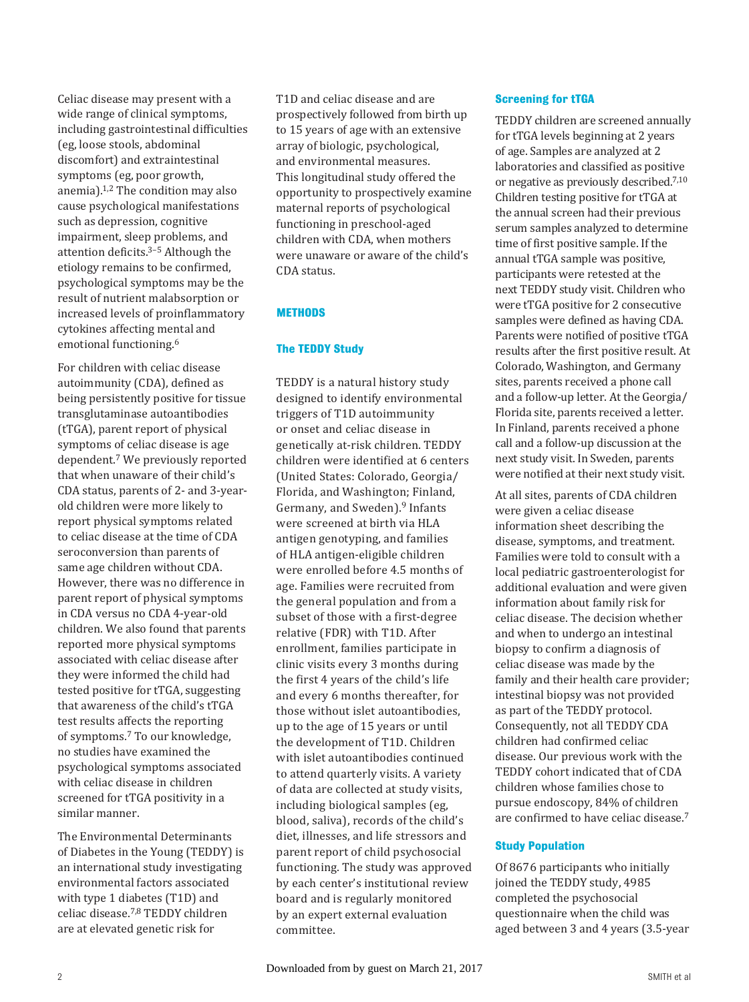Celiac disease may present with a wide range of clinical symptoms, including gastrointestinal difficulties (eg, loose stools, abdominal discomfort) and extraintestinal symptoms (eg, poor growth, anemia). $1,2$  The condition may also cause psychological manifestations such as depression, cognitive impairment, sleep problems, and attention deficits. 3–5 Although the etiology remains to be confirmed, psychological symptoms may be the result of nutrient malabsorption or increased levels of proinflammatory cytokines affecting mental and emotional functioning.<sup>6</sup>

For children with celiac disease autoimmunity (CDA), defined as being persistently positive for tissue transglutaminase autoantibodies (tTGA), parent report of physical symptoms of celiac disease is age dependent.<sup>7</sup> We previously reported that when unaware of their child's CDA status, parents of 2- and 3-yearold children were more likely to report physical symptoms related to celiac disease at the time of CDA seroconversion than parents of same age children without CDA. However, there was no difference in parent report of physical symptoms in CDA versus no CDA 4-year-old children. We also found that parents reported more physical symptoms associated with celiac disease after they were informed the child had tested positive for tTGA, suggesting that awareness of the child's tTGA test results affects the reporting of symptoms.<sup>7</sup> To our knowledge, no studies have examined the psychological symptoms associated with celiac disease in children screened for tTGA positivity in a similar manner.

The Environmental Determinants of Diabetes in the Young (TEDDY) is an international study investigating environmental factors associated with type 1 diabetes (T1D) and celiac disease.<sup>7,8</sup> TEDDY children are at elevated genetic risk for

T1D and celiac disease and are prospectively followed from birth up to 15 years of age with an extensive array of biologic, psychological, and environmental measures. This longitudinal study offered the opportunity to prospectively examine maternal reports of psychological functioning in preschool-aged children with CDA, when mothers were unaware or aware of the child's CDA status.

### **METHODS**

#### **The TEDDY Study**

TEDDY is a natural history study designed to identify environmental triggers of T1D autoimmunity or onset and celiac disease in genetically at-risk children. TEDDY children were identified at 6 centers (United States: Colorado, Georgia/ Florida, and Washington; Finland, Germany, and Sweden).<sup>9</sup> Infants were screened at birth via HLA antigen genotyping, and families of HLA antigen-eligible children were enrolled before 4.5 months of age. Families were recruited from the general population and from a subset of those with a first-degree relative (FDR) with T1D. After enrollment, families participate in clinic visits every 3 months during the first 4 years of the child's life and every 6 months thereafter, for those without islet autoantibodies, up to the age of 15 years or until the development of T1D. Children with islet autoantibodies continued to attend quarterly visits. A variety of data are collected at study visits, including biological samples (eg, blood, saliva), records of the child's diet, illnesses, and life stressors and parent report of child psychosocial functioning. The study was approved by each center's institutional review board and is regularly monitored by an expert external evaluation committee.

#### **Screening for tTGA**

TEDDY children are screened annually for tTGA levels beginning at 2 years of age. Samples are analyzed at 2 laboratories and classified as positive or negative as previously described. $7,10$ Children testing positive for tTGA at the annual screen had their previous serum samples analyzed to determine time of first positive sample. If the annual tTGA sample was positive, participants were retested at the next TEDDY study visit. Children who were tTGA positive for 2 consecutive samples were defined as having CDA. Parents were notified of positive tTGA results after the first positive result. At Colorado, Washington, and Germany sites, parents received a phone call and a follow-up letter. At the Georgia/ Florida site, parents received a letter. In Finland, parents received a phone call and a follow-up discussion at the next study visit. In Sweden, parents were notified at their next study visit.

At all sites, parents of CDA children were given a celiac disease information sheet describing the disease, symptoms, and treatment. Families were told to consult with a local pediatric gastroenterologist for additional evaluation and were given information about family risk for celiac disease. The decision whether and when to undergo an intestinal biopsy to confirm a diagnosis of celiac disease was made by the family and their health care provider; intestinal biopsy was not provided as part of the TEDDY protocol. Consequently, not all TEDDY CDA children had confirmed celiac disease. Our previous work with the TEDDY cohort indicated that of CDA children whose families chose to pursue endoscopy, 84% of children are confirmed to have celiac disease. 7

#### **Study Population**

Of 8676 participants who initially joined the TEDDY study, 4985 completed the psychosocial questionnaire when the child was aged between 3 and 4 years (3.5-year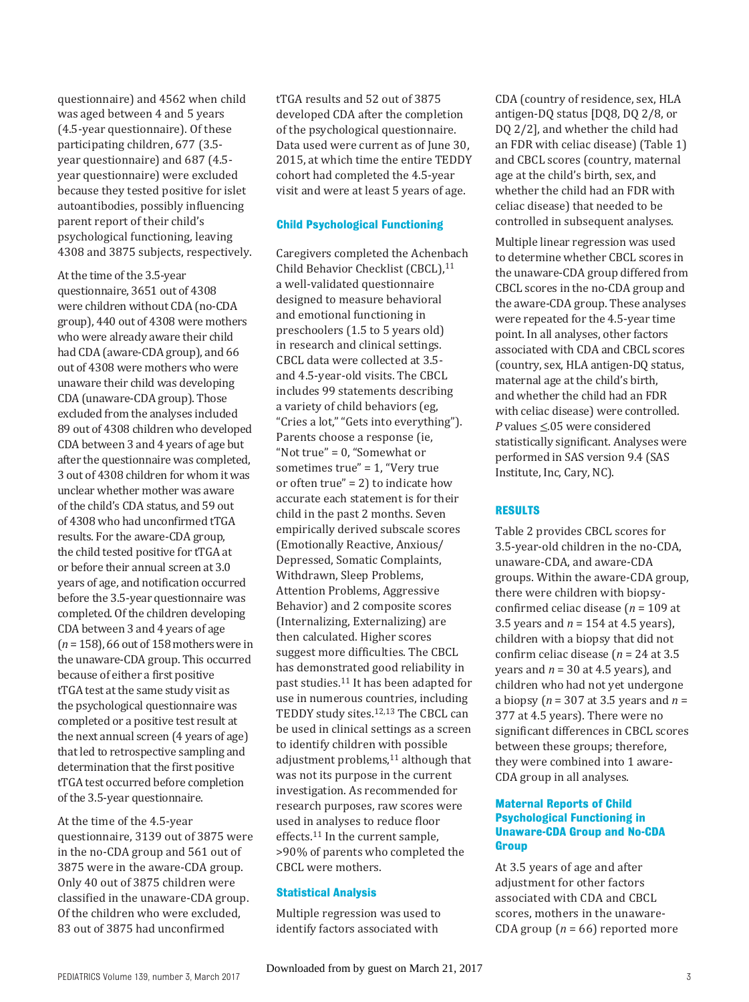questionnaire) and 4562 when child was aged between 4 and 5 years (4.5-year questionnaire). Of these participating children, 677 (3.5 year questionnaire) and 687 (4.5 year questionnaire) were excluded because they tested positive for islet autoantibodies, possibly influencing parent report of their child's psychological functioning, leaving 4308 and 3875 subjects, respectively.

At the time of the 3.5-year questionnaire, 3651 out of 4308 were children without CDA (no-CDA group), 440 out of 4308 were mothers who were already aware their child had CDA (aware-CDA group), and 66 out of 4308 were mothers who were unaware their child was developing CDA (unaware-CDA group). Those excluded from the analyses included 89 out of 4308 children who developed CDA between 3 and 4 years of age but after the questionnaire was completed, 3 out of 4308 children for whom it was unclear whether mother was aware of the child's CDA status, and 59 out of 4308 who had unconfirmed tTGA results. For the aware-CDA group, the child tested positive for tTGA at or before their annual screen at 3.0 years of age, and notification occurred before the 3.5-year questionnaire was completed. Of the children developing CDA between 3 and 4 years of age (*n* = 158), 66 out of 158 mothers were in the unaware-CDA group. This occurred because of either a first positive tTGA test at the same study visit as the psychological questionnaire was completed or a positive test result at the next annual screen (4 years of age) that led to retrospective sampling and determination that the first positive tTGA test occurred before completion of the 3.5-year questionnaire.

At the time of the 4.5-year questionnaire, 3139 out of 3875 were in the no-CDA group and 561 out of 3875 were in the aware-CDA group. Only 40 out of 3875 children were classified in the unaware-CDA group. Of the children who were excluded, 83 out of 3875 had unconfirmed

tTGA results and 52 out of 3875 developed CDA after the completion of the psychological questionnaire. Data used were current as of June 30, 2015, at which time the entire TEDDY cohort had completed the 4.5-year visit and were at least 5 years of age.

#### **Child Psychological Functioning**

Caregivers completed the Achenbach Child Behavior Checklist (CBCL), <sup>11</sup> a well-validated questionnaire designed to measure behavioral and emotional functioning in preschoolers (1.5 to 5 years old) in research and clinical settings. CBCL data were collected at 3.5 and 4.5-year-old visits. The CBCL includes 99 statements describing a variety of child behaviors (eg, "Cries a lot," "Gets into everything"). Parents choose a response (ie, "Not true" = 0, "Somewhat or sometimes true" = 1, "Very true or often true" = 2) to indicate how accurate each statement is for their child in the past 2 months. Seven empirically derived subscale scores (Emotionally Reactive, Anxious/ Depressed, Somatic Complaints, Withdrawn, Sleep Problems, Attention Problems, Aggressive Behavior) and 2 composite scores (Internalizing, Externalizing) are then calculated. Higher scores suggest more difficulties. The CBCL has demonstrated good reliability in past studies. 11 It has been adapted for use in numerous countries, including TEDDY study sites.<sup>12,13</sup> The CBCL can be used in clinical settings as a screen to identify children with possible adjustment problems, $11$  although that was not its purpose in the current investigation. As recommended for research purposes, raw scores were used in analyses to reduce floor effects.<sup>11</sup> In the current sample, >90% of parents who completed the CBCL were mothers.

#### **Statistical Analysis**

Multiple regression was used to identify factors associated with

CDA (country of residence, sex, HLA antigen-DQ status [DQ8, DQ 2/8, or DQ 2/2], and whether the child had an FDR with celiac disease) (Table 1) and CBCL scores (country, maternal age at the child's birth, sex, and whether the child had an FDR with celiac disease) that needed to be controlled in subsequent analyses.

Multiple linear regression was used to determine whether CBCL scores in the unaware-CDA group differed from CBCL scores in the no-CDA group and the aware-CDA group. These analyses were repeated for the 4.5-year time point. In all analyses, other factors associated with CDA and CBCL scores (country, sex, HLA antigen-DQ status, maternal age at the child's birth, and whether the child had an FDR with celiac disease) were controlled. *P* values ≤.05 were considered statistically significant. Analyses were performed in SAS version 9.4 (SAS Institute, Inc, Cary, NC).

#### **RESULTS**

 Table 2 provides CBCL scores for 3.5-year-old children in the no-CDA, unaware-CDA, and aware-CDA groups. Within the aware-CDA group, there were children with biopsyconfirmed celiac disease (*n* = 109 at 3.5 years and *n* = 154 at 4.5 years), children with a biopsy that did not confirm celiac disease (*n* = 24 at 3.5 years and *n* = 30 at 4.5 years), and children who had not yet undergone a biopsy (*n* = 307 at 3.5 years and *n* = 377 at 4.5 years). There were no significant differences in CBCL scores between these groups; therefore, they were combined into 1 aware-CDA group in all analyses.

#### **Maternal Reports of Child Psychological Functioning in Unaware-CDA Group and No-CDA Group**

At 3.5 years of age and after adjustment for other factors associated with CDA and CBCL scores, mothers in the unaware-CDA group (*n* = 66) reported more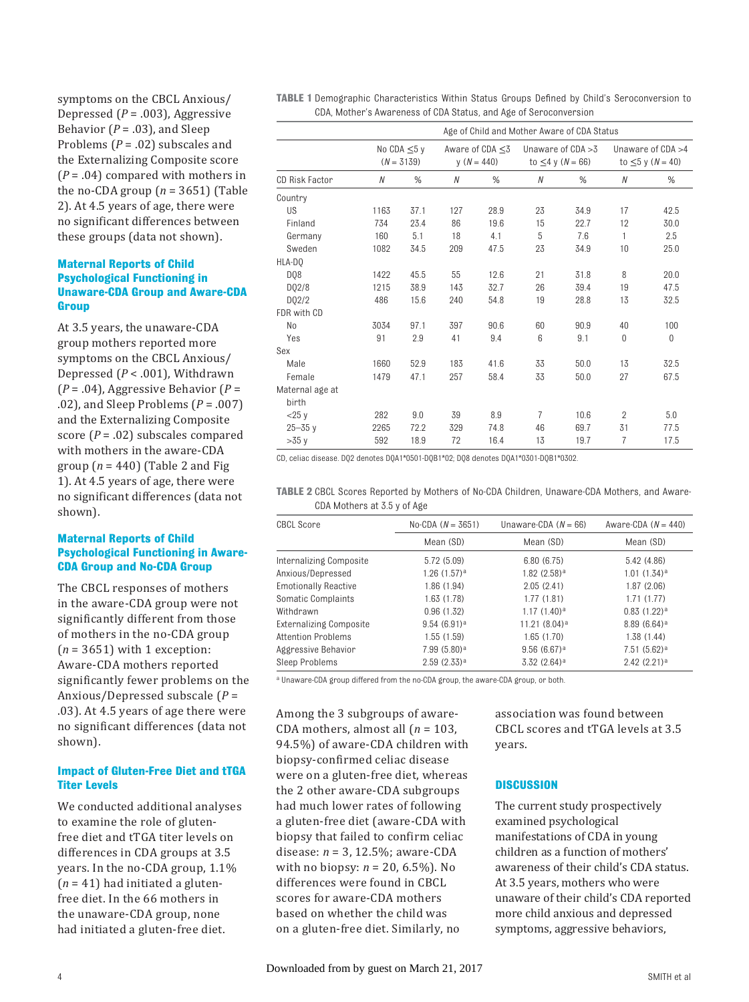symptoms on the CBCL Anxious/ Depressed (*P* = .003), Aggressive Behavior  $(P = .03)$ , and Sleep Problems (*P* = .02) subscales and the Externalizing Composite score (*P* = .04) compared with mothers in the no-CDA group  $(n = 3651)$  (Table 2). At 4.5 years of age, there were no significant differences between these groups (data not shown).

#### **Maternal Reports of Child Psychological Functioning in Unaware-CDA Group and Aware-CDA Group**

At 3.5 years, the unaware-CDA group mothers reported more symptoms on the CBCL Anxious/ Depressed (*P* < .001), Withdrawn (*P* = .04), Aggressive Behavior (*P* = .02), and Sleep Problems (*P* = .007) and the Externalizing Composite score (*P* = .02) subscales compared with mothers in the aware-CDA group  $(n = 440)$  (Table 2 and Fig 1). At 4.5 years of age, there were no significant differences (data not shown).

#### **Maternal Reports of Child Psychological Functioning in Aware-CDA Group and No-CDA Group**

The CBCL responses of mothers in the aware-CDA group were not significantly different from those of mothers in the no-CDA group (*n* = 3651) with 1 exception: Aware-CDA mothers reported significantly fewer problems on the Anxious/Depressed subscale (*P* = .03). At 4.5 years of age there were no significant differences (data not shown).

#### **Impact of Gluten-Free Diet and tTGA Titer Levels**

We conducted additional analyses to examine the role of glutenfree diet and tTGA titer levels on differences in CDA groups at 3.5 years. In the no-CDA group, 1.1% (*n* = 41) had initiated a glutenfree diet. In the 66 mothers in the unaware-CDA group, none had initiated a gluten-free diet.

**TABLE 1** Demographic Characteristics Within Status Groups Defined by Child's Seroconversion to CDA, Mother's Awareness of CDA Status, and Age of Seroconversion

|                          | Age of Child and Mother Aware of CDA Status |      |                                       |      |                                                    |      |                                                |              |
|--------------------------|---------------------------------------------|------|---------------------------------------|------|----------------------------------------------------|------|------------------------------------------------|--------------|
|                          | No CDA ≤5 y<br>$(N = 3139)$                 |      | Aware of $CDA \leq 3$<br>$y(N = 440)$ |      | Unaware of $CDA > 3$<br>to $\leq 4$ y ( $N = 66$ ) |      | Unaware of $CDA > 4$<br>to $\leq 5$ y (N = 40) |              |
| CD Risk Factor           | N                                           | %    | N                                     | %    | N                                                  | %    | N                                              | %            |
| Country                  |                                             |      |                                       |      |                                                    |      |                                                |              |
| <b>US</b>                | 1163                                        | 37.1 | 127                                   | 28.9 | 23                                                 | 34.9 | 17                                             | 42.5         |
| Finland                  | 734                                         | 23.4 | 86                                    | 19.6 | 15                                                 | 22.7 | 12                                             | 30.0         |
| Germany                  | 160                                         | 5.1  | 18                                    | 4.1  | 5                                                  | 7.6  | 1                                              | 2.5          |
| Sweden                   | 1082                                        | 34.5 | 209                                   | 47.5 | 23                                                 | 34.9 | 10                                             | 25.0         |
| HLA-DQ                   |                                             |      |                                       |      |                                                    |      |                                                |              |
| DQ8                      | 1422                                        | 45.5 | 55                                    | 12.6 | 21                                                 | 31.8 | 8                                              | 20.0         |
| DQ2/8                    | 1215                                        | 38.9 | 143                                   | 32.7 | 26                                                 | 39.4 | 19                                             | 47.5         |
| DQ2/2                    | 486                                         | 15.6 | 240                                   | 54.8 | 19                                                 | 28.8 | 13                                             | 32.5         |
| FDR with CD              |                                             |      |                                       |      |                                                    |      |                                                |              |
| No                       | 3034                                        | 97.1 | 397                                   | 90.6 | 60                                                 | 90.9 | 40                                             | 100          |
| Yes                      | 91                                          | 2.9  | 41                                    | 9.4  | 6                                                  | 9.1  | $\mathbf{0}$                                   | $\mathbf{0}$ |
| Sex                      |                                             |      |                                       |      |                                                    |      |                                                |              |
| Male                     | 1660                                        | 52.9 | 183                                   | 41.6 | 33                                                 | 50.0 | 13                                             | 32.5         |
| Female                   | 1479                                        | 47.1 | 257                                   | 58.4 | 33                                                 | 50.0 | 27                                             | 67.5         |
| Maternal age at<br>birth |                                             |      |                                       |      |                                                    |      |                                                |              |
| $<$ 25 y                 | 282                                         | 9.0  | 39                                    | 8.9  | 7                                                  | 10.6 | $\overline{2}$                                 | 5.0          |
| $25 - 35y$               | 2265                                        | 72.2 | 329                                   | 74.8 | 46                                                 | 69.7 | 31                                             | 77.5         |
| >35y                     | 592                                         | 18.9 | 72                                    | 16.4 | 13                                                 | 19.7 | 7                                              | 17.5         |

CD, celiac disease. DQ2 denotes DQA1\*0501-DQB1\*02; DQ8 denotes DQA1\*0301-DQB1\*0302.

**TABLE 2** CBCL Scores Reported by Mothers of No-CDA Children, Unaware-CDA Mothers, and Aware-CDA Mothers at 3.5 y of Age

| <b>CBCL Score</b>              | $No-CDA (N = 3651)$     | Unaware-CDA $(N = 66)$    | Aware-CDA $(N = 440)$      |
|--------------------------------|-------------------------|---------------------------|----------------------------|
|                                | Mean (SD)               | Mean (SD)                 | Mean (SD)                  |
| Internalizing Composite        | 5.72 (5.09)             | 6.80(6.75)                | 5.42 (4.86)                |
| Anxious/Depressed              | $1.26(1.57)^a$          | $1.82(2.58)^a$            | $1.01(1.34)^a$             |
| <b>Emotionally Reactive</b>    | 1.86(1.94)              | 2.05(2.41)                | 1.87(2.06)                 |
| Somatic Complaints             | 1.63 (1.78)             | 1.77(1.81)                | 1.71(1.77)                 |
| Withdrawn                      | 0.96(1.32)              | $1.17(1.40)$ <sup>a</sup> | $0.83$ (1.22) <sup>a</sup> |
| <b>Externalizing Composite</b> | $9.54(6.91)^a$          | 11.21 $(8.04)^a$          | $8.89(6.64)^a$             |
| Attention Problems             | 1.55(1.59)              | 1.65(1.70)                | 1.38(1.44)                 |
| Aggressive Behavior            | 7.99(5.80) <sup>a</sup> | 9.56(6.67) <sup>a</sup>   | $7.51(5.62)^a$             |
| Sleep Problems                 | 2.59(2.33) <sup>a</sup> | $3.32(2.64)^a$            | $2.42$ (2.21) <sup>a</sup> |
|                                |                         |                           |                            |

a Unaware-CDA group differed from the no-CDA group, the aware-CDA group, or both.

Among the 3 subgroups of aware-CDA mothers, almost all (*n* = 103, 94.5%) of aware-CDA children with biopsy-confirmed celiac disease were on a gluten-free diet, whereas the 2 other aware-CDA subgroups had much lower rates of following a gluten-free diet (aware-CDA with biopsy that failed to confirm celiac disease: *n* = 3, 12.5%; aware-CDA with no biopsy: *n* = 20, 6.5%). No differences were found in CBCL scores for aware-CDA mothers based on whether the child was on a gluten-free diet. Similarly, no

association was found between CBCL scores and tTGA levels at 3.5 years.

#### **DISCUSSION**

The current study prospectively examined psychological manifestations of CDA in young children as a function of mothers' awareness of their child's CDA status. At 3.5 years, mothers who were unaware of their child's CDA reported more child anxious and depressed symptoms, aggressive behaviors,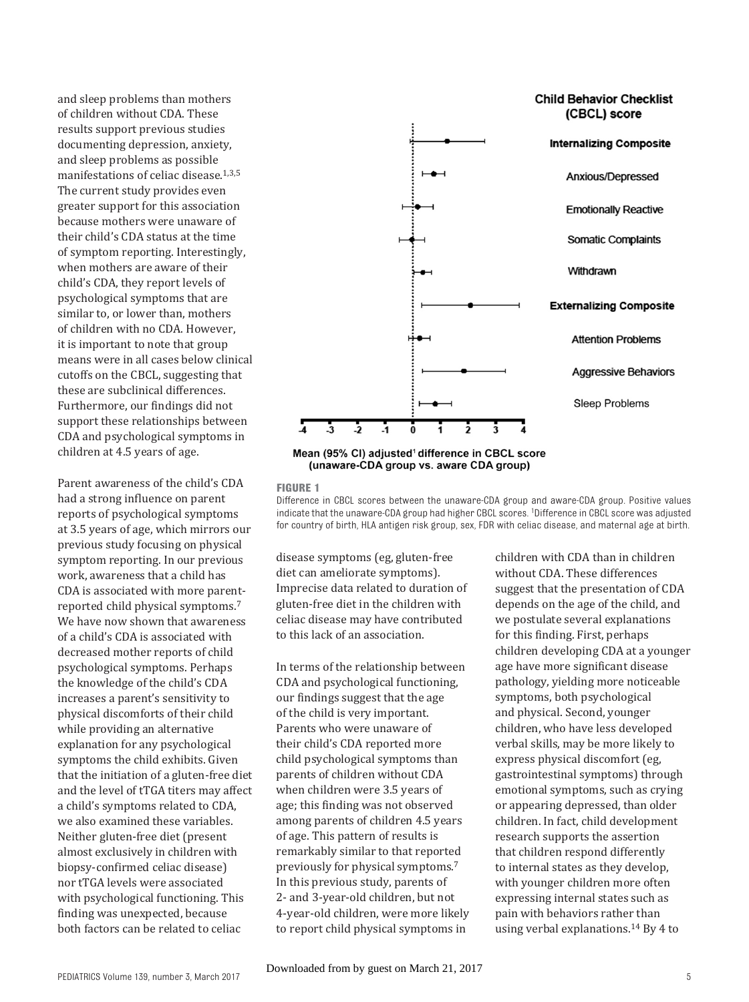and sleep problems than mothers of children without CDA. These results support previous studies documenting depression, anxiety, and sleep problems as possible manifestations of celiac disease. $1,3,5$ The current study provides even greater support for this association because mothers were unaware of their child's CDA status at the time of symptom reporting. Interestingly, when mothers are aware of their child's CDA, they report levels of psychological symptoms that are similar to, or lower than, mothers of children with no CDA. However, it is important to note that group means were in all cases below clinical cutoffs on the CBCL, suggesting that these are subclinical differences. Furthermore, our findings did not support these relationships between CDA and psychological symptoms in children at 4.5 years of age.

Parent awareness of the child's CDA had a strong influence on parent reports of psychological symptoms at 3.5 years of age, which mirrors our previous study focusing on physical symptom reporting. In our previous work, awareness that a child has CDA is associated with more parentreported child physical symptoms. 7 We have now shown that awareness of a child's CDA is associated with decreased mother reports of child psychological symptoms. Perhaps the knowledge of the child's CDA increases a parent's sensitivity to physical discomforts of their child while providing an alternative explanation for any psychological symptoms the child exhibits. Given that the initiation of a gluten-free diet and the level of tTGA titers may affect a child's symptoms related to CDA, we also examined these variables. Neither gluten-free diet (present almost exclusively in children with biopsy-confirmed celiac disease) nor tTGA levels were associated with psychological functioning. This finding was unexpected, because both factors can be related to celiac



Mean (95% CI) adjusted<sup>1</sup> difference in CBCL score (unaware-CDA group vs. aware CDA group)

#### **FIGURE 1**

Difference in CBCL scores between the unaware-CDA group and aware-CDA group. Positive values indicate that the unaware-CDA group had higher CBCL scores. 1Difference in CBCL score was adjusted for country of birth, HLA antigen risk group, sex, FDR with celiac disease, and maternal age at birth.

disease symptoms (eg, gluten-free diet can ameliorate symptoms). Imprecise data related to duration of gluten-free diet in the children with celiac disease may have contributed to this lack of an association.

In terms of the relationship between CDA and psychological functioning, our findings suggest that the age of the child is very important. Parents who were unaware of their child's CDA reported more child psychological symptoms than parents of children without CDA when children were 3.5 years of age; this finding was not observed among parents of children 4.5 years of age. This pattern of results is remarkably similar to that reported previously for physical symptoms. 7 In this previous study, parents of 2- and 3-year-old children, but not 4-year-old children, were more likely to report child physical symptoms in

children with CDA than in children without CDA. These differences suggest that the presentation of CDA depends on the age of the child, and we postulate several explanations for this finding. First, perhaps children developing CDA at a younger age have more significant disease pathology, yielding more noticeable symptoms, both psychological and physical. Second, younger children, who have less developed verbal skills, may be more likely to express physical discomfort (eg, gastrointestinal symptoms) through emotional symptoms, such as crying or appearing depressed, than older children. In fact, child development research supports the assertion that children respond differently to internal states as they develop, with younger children more often expressing internal states such as pain with behaviors rather than using verbal explanations.<sup>14</sup> By 4 to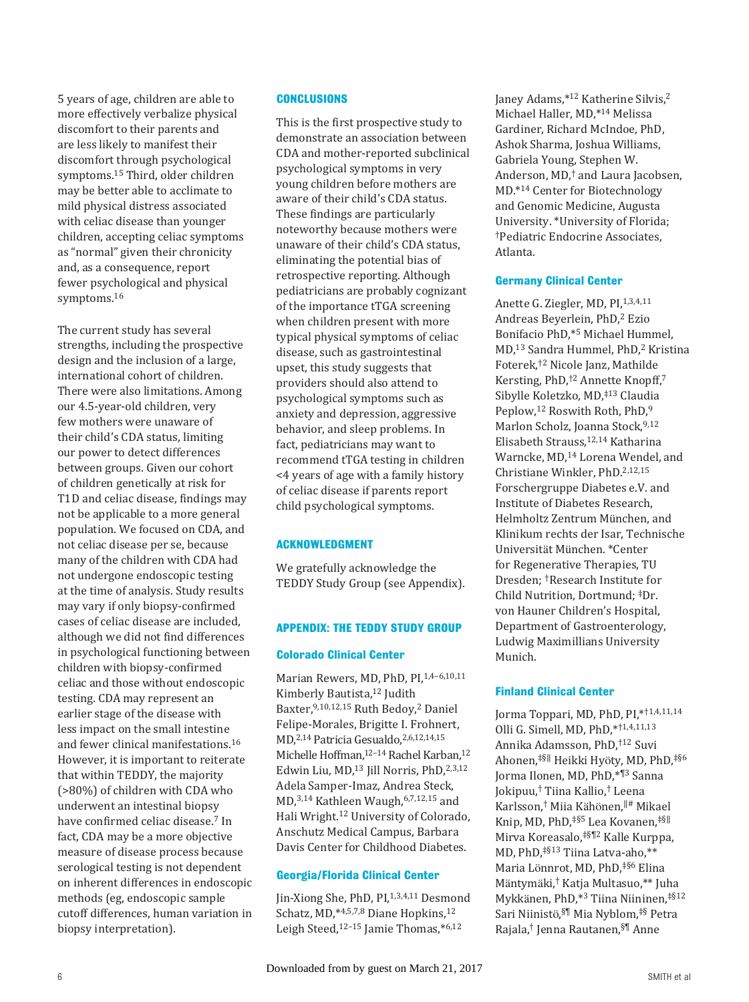5 years of age, children are able to more effectively verbalize physical discomfort to their parents and are less likely to manifest their discomfort through psychological symptoms.<sup>15</sup> Third, older children may be better able to acclimate to mild physical distress associated with celiac disease than younger children, accepting celiac symptoms as "normal" given their chronicity and, as a consequence, report fewer psychological and physical symptoms. 16

The current study has several strengths, including the prospective design and the inclusion of a large, international cohort of children. There were also limitations. Among our 4.5-year-old children, very few mothers were unaware of their child's CDA status, limiting our power to detect differences between groups. Given our cohort of children genetically at risk for T1D and celiac disease, findings may not be applicable to a more general population. We focused on CDA, and not celiac disease per se, because many of the children with CDA had not undergone endoscopic testing at the time of analysis. Study results may vary if only biopsy-confirmed cases of celiac disease are included, although we did not find differences in psychological functioning between children with biopsy-confirmed celiac and those without endoscopic testing. CDA may represent an earlier stage of the disease with less impact on the small intestine and fewer clinical manifestations. 16 However, it is important to reiterate that within TEDDY, the majority (>80%) of children with CDA who underwent an intestinal biopsy have confirmed celiac disease.<sup>7</sup> In fact, CDA may be a more objective measure of disease process because serological testing is not dependent on inherent differences in endoscopic methods (eg, endoscopic sample cutoff differences, human variation in biopsy interpretation).

#### **CONCLUSIONS**

This is the first prospective study to demonstrate an association between CDA and mother-reported subclinical psychological symptoms in very young children before mothers are aware of their child's CDA status. These findings are particularly noteworthy because mothers were unaware of their child's CDA status, eliminating the potential bias of retrospective reporting. Although pediatricians are probably cognizant of the importance tTGA screening when children present with more typical physical symptoms of celiac disease, such as gastrointestinal upset, this study suggests that providers should also attend to psychological symptoms such as anxiety and depression, aggressive behavior, and sleep problems. In fact, pediatricians may want to recommend tTGA testing in children <4 years of age with a family history of celiac disease if parents report child psychological symptoms.

#### **ACKNOWLEDGMENT**

We gratefully acknowledge the TEDDY Study Group (see Appendix).

#### **APPENDIX: THE TEDDY STUDY GROUP**

#### **Colorado Clinical Center**

Marian Rewers, MD, PhD, PI, 1, 4-6, 10, 11 Kimberly Bautista, 12 Judith Baxter, 9, 10, 12, 15 Ruth Bedoy, 2 Daniel Felipe-Morales, Brigitte I. Frohnert, MD, 2,14 Patricia Gesualdo, 2,6,12,14,15 Michelle Hoffman, 12-14 Rachel Karban, 12 Edwin Liu, MD,<sup>13</sup> Jill Norris, PhD,<sup>2,3,12</sup> Adela Samper-Imaz, Andrea Steck, MD, 3, 14 Kathleen Waugh, 6, 7, 12, 15 and Hali Wright.12 University of Colorado, Anschutz Medical Campus, Barbara Davis Center for Childhood Diabetes.

#### **Georgia/Florida Clinical Center**

Jin-Xiong She, PhD, PI, <sup>1, 3, 4, 11</sup> Desmond Schatz, MD,\*4,5,7,8 Diane Hopkins,<sup>12</sup> Leigh Steed, <sup>12-15</sup> Jamie Thomas, \*6,12

Janey Adams, \*12 Katherine Silvis, 2 Michael Haller, MD, \*14 Melissa Gardiner, Richard McIndoe, PhD, Ashok Sharma, Joshua Williams, Gabriela Young, Stephen W. Anderson, MD,<sup>†</sup> and Laura Jacobsen, MD.\*14 Center for Biotechnology and Genomic Medicine, Augusta University. \*University of Florida; †Pediatric Endocrine Associates, Atlanta.

#### **Germany Clinical Center**

Anette G. Ziegler, MD, PI, 1,3,4,11 Andreas Beyerlein, PhD,<sup>2</sup> Ezio Bonifacio PhD, \*5 Michael Hummel, MD,<sup>13</sup> Sandra Hummel, PhD,<sup>2</sup> Kristina Foterek, †2 Nicole Janz, Mathilde Kersting, PhD,<sup>†2</sup> Annette Knopff.<sup>7</sup> Sibylle Koletzko, MD, <sup>‡13</sup> Claudia Peplow, <sup>12</sup> Roswith Roth, PhD, 9 Marlon Scholz, Joanna Stock, 9,12 Elisabeth Strauss, 12,14 Katharina Warncke, MD.<sup>14</sup> Lorena Wendel, and Christiane Winkler, PhD.<sup>2,12,15</sup> Forschergruppe Diabetes e.V. and Institute of Diabetes Research, Helmholtz Zentrum München, and Klinikum rechts der Isar, Technische Universität München. \*Center for Regenerative Therapies, TU Dresden; †Research Institute for Child Nutrition, Dortmund; ‡Dr. von Hauner Children's Hospital, Department of Gastroenterology, Ludwig Maximillians University Munich.

#### **Finland Clinical Center**

Jorma Toppari, MD, PhD, PI, \* † 1,4, 11, 14 Olli G. Simell, MD, PhD, \*<sup>†1,4,11,13</sup> Annika Adamsson, PhD, †12 Suvi Ahonen, ‡§‖ Heikki Hyöty, MD, PhD, ‡§6 Jorma Ilonen, MD, PhD, \*¶3 Sanna Jokipuu, † Tiina Kallio, † Leena Karlsson, † Miia Kähönen, ‖# Mikael Knip, MD, PhD,  $\frac{455}{5}$  Lea Kovanen,  $\frac{48}{10}$ Mirva Koreasalo, <sup>द2</sup> Kalle Kurppa, MD, PhD, ‡§13 Tiina Latva-aho, \*\* Maria Lönnrot, MD, PhD, ‡§6 Elina Mäntymäki,<sup>†</sup> Katja Multasuo,\*\* Juha Mykkänen, PhD, \*<sup>3</sup> Tiina Niininen, <sup>‡§12</sup> Sari Niinistö,<sup>§¶</sup> Mia Nyblom,‡§ Petra Rajala, † Jenna Rautanen, §¶ Anne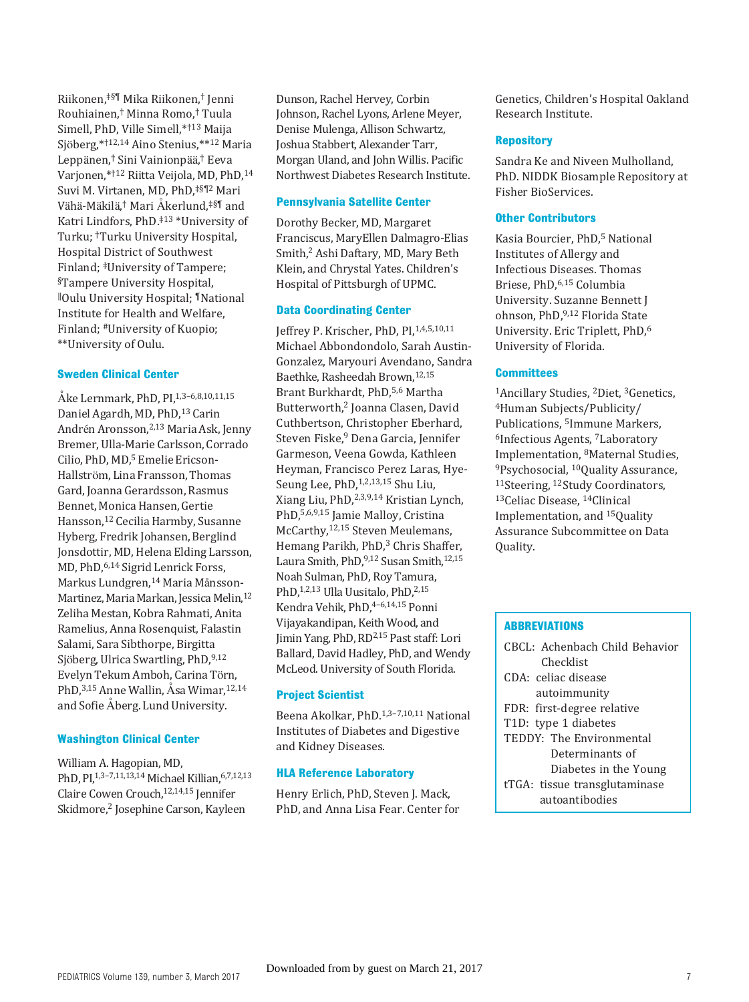Riikonen, ‡§¶ Mika Riikonen, † Jenni Rouhiainen,<sup>†</sup> Minna Romo,<sup>†</sup> Tuula Simell, PhD, Ville Simell, \*†13 Maija Sjöberg, \*†12, 14 Aino Stenius, \*\*12 Maria Leppänen,† Sini Vainionpää,† Eeva Varjonen, \*†12 Riitta Veijola, MD, PhD, 14 Suvi M. Virtanen, MD, PhD, <sup>द2</sup> Mari Vähä-Mäkilä,† Mari Åkerlund,‡§¶ and Katri Lindfors, PhD.‡13 \*University of Turku; †Turku University Hospital, Hospital District of Southwest Finland; ‡University of Tampere; §Tampere University Hospital, ‖Oulu University Hospital; ¶National Institute for Health and Welfare, Finland; #University of Kuopio; \*\*University of Oulu.

#### **Sweden Clinical Center**

Åke Lernmark, PhD, PI, 1,3-6,8,10,11,15 Daniel Agardh, MD, PhD, 13 Carin Andrén Aronsson, 2,13 Maria Ask, Jenny Bremer, Ulla-Marie Carlsson, Corrado Cilio, PhD, MD,<sup>5</sup> Emelie Ericson-Hallström, Lina Fransson, Thomas Gard, Joanna Gerardsson, Rasmus Bennet, Monica Hansen, Gertie Hansson, 12 Cecilia Harmby, Susanne Hyberg, Fredrik Johansen, Berglind Jonsdottir, MD, Helena Elding Larsson, MD, PhD, 6,14 Sigrid Lenrick Forss, Markus Lundgren, <sup>14</sup> Maria Månsson-Martinez, Maria Markan, Jessica Melin, 12 Zeliha Mestan, Kobra Rahmati, Anita Ramelius, Anna Rosenquist, Falastin Salami, Sara Sibthorpe, Birgitta Sjöberg, Ulrica Swartling, PhD, 9,12 Evelyn Tekum Amboh, Carina Törn, PhD, 3, 15 Anne Wallin, Åsa Wimar, 12, 14 and Sofie Åberg. Lund University.

#### **Washington Clinical Center**

William A. Hagopian, MD, PhD, PI, <sup>1, 3-7, 11, 13, 14</sup> Michael Killian, <sup>6, 7, 12, 13</sup> Claire Cowen Crouch, <sup>12, 14, 15</sup> Jennifer Skidmore,<sup>2</sup> Josephine Carson, Kayleen

Dunson, Rachel Hervey, Corbin Johnson, Rachel Lyons, Arlene Meyer, Denise Mulenga, Allison Schwartz, Joshua Stabbert, Alexander Tarr, Morgan Uland, and John Willis. Pacific Northwest Diabetes Research Institute.

#### **Pennsylvania Satellite Center**

Dorothy Becker, MD, Margaret Franciscus, MaryEllen Dalmagro-Elias Smith,<sup>2</sup> Ashi Daftary, MD, Mary Beth Klein, and Chrystal Yates. Children's Hospital of Pittsburgh of UPMC.

#### **Data Coordinating Center**

Jeffrey P. Krischer, PhD, PI, 1,4,5,10,11 Michael Abbondondolo, Sarah Austin-Gonzalez, Maryouri Avendano, Sandra Baethke, Rasheedah Brown, 12,15 Brant Burkhardt, PhD, 5,6 Martha Butterworth,<sup>2</sup> Joanna Clasen, David Cuthbertson, Christopher Eberhard, Steven Fiske,<sup>9</sup> Dena Garcia, Jennifer Garmeson, Veena Gowda, Kathleen Heyman, Francisco Perez Laras, Hye-Seung Lee, PhD, 1,2, 13, 15 Shu Liu, Xiang Liu, PhD, 2,3,9,14 Kristian Lynch, PhD, 5, 6, 9, 15 Jamie Malloy, Cristina McCarthy, 12,15 Steven Meulemans, Hemang Parikh, PhD,<sup>3</sup> Chris Shaffer, Laura Smith, PhD, 9,12 Susan Smith, 12,15 Noah Sulman, PhD, Roy Tamura, PhD, 1,2,13 Ulla Uusitalo, PhD, 2,15 Kendra Vehik, PhD, 4-6, 14, 15 Ponni Vijayakandipan, Keith Wood, and Jimin Yang, PhD, RD<sup>2,15</sup> Past staff: Lori Ballard, David Hadley, PhD, and Wendy McLeod. University of South Florida.

#### **Project Scientist**

Beena Akolkar, PhD.<sup>1,3-7,10,11</sup> National Institutes of Diabetes and Digestive and Kidney Diseases.

#### **HLA Reference Laboratory**

Henry Erlich, PhD, Steven J. Mack, PhD, and Anna Lisa Fear. Center for Genetics, Children's Hospital Oakland Research Institute.

#### **Repository**

Sandra Ke and Niveen Mulholland, PhD. NIDDK Biosample Repository at Fisher BioServices.

#### **Other Contributors**

Kasia Bourcier, PhD,<sup>5</sup> National Institutes of Allergy and Infectious Diseases. Thomas Briese, PhD,<sup>6,15</sup> Columbia University. Suzanne Bennett J ohnson, PhD, 9,12 Florida State University. Eric Triplett, PhD, 6 University of Florida.

#### **Committees**

<sup>1</sup>Ancillary Studies, <sup>2</sup>Diet, <sup>3</sup>Genetics, <sup>4</sup>Human Subjects/Publicity/ Publications, 5Immune Markers, <sup>6</sup>Infectious Agents, <sup>7</sup>Laboratory Implementation, <sup>8</sup>Maternal Studies,<br><sup>9</sup>Psychosocial, <sup>10</sup>Quality Assurance, <sup>11</sup>Steering, <sup>12</sup>Study Coordinators, 13Celiac Disease, 14Clinical Implementation, and 15Quality Assurance Subcommittee on Data Quality.

#### **ABBREVIATIONS**

CBCL: Achenbach Child Behavior Checklist CDA: celiac disease autoimmunity FDR: first-degree relative T1D: type 1 diabetes TEDDY: The Environmental Determinants of Diabetes in the Young tTGA: tissue transglutaminase autoantibodies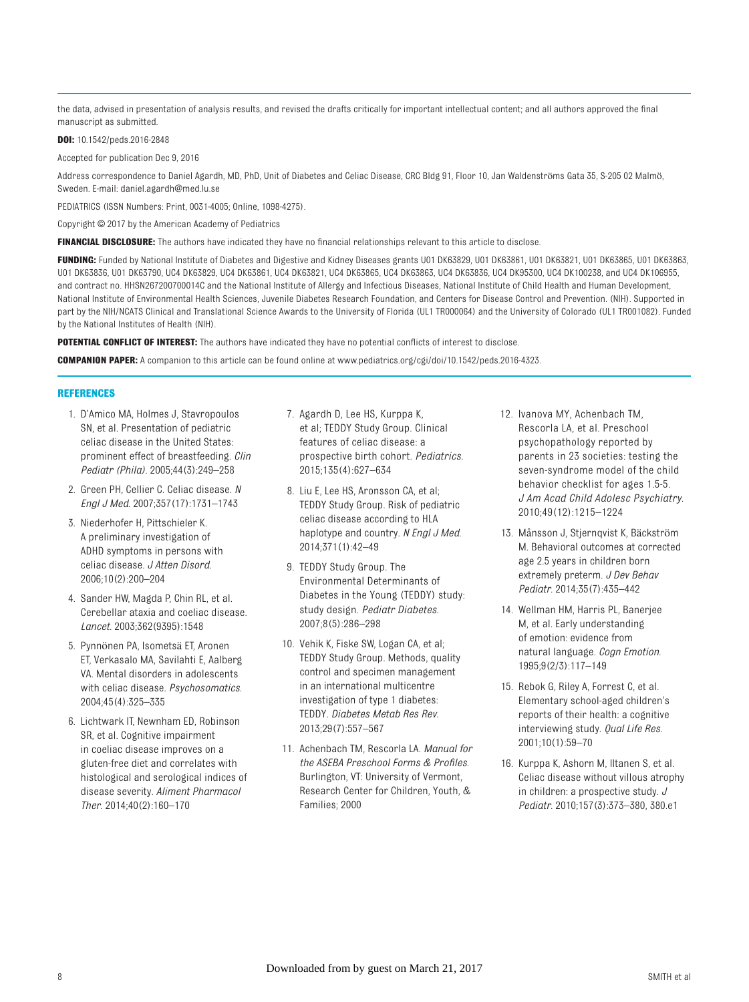the data, advised in presentation of analysis results, and revised the drafts critically for important intellectual content; and all authors approved the final manuscript as submitted.

**DOI:** 10.1542/peds.2016-2848

Accepted for publication Dec 9, 2016

 Address correspondence to Daniel Agardh, MD, PhD, Unit of Diabetes and Celiac Disease, CRC Bldg 91, Floor 10, Jan Waldenströms Gata 35, S-205 02 Malmö, Sweden. E-mail: daniel.agardh@med.lu.se

PEDIATRICS (ISSN Numbers: Print, 0031-4005; Online, 1098-4275).

Copyright © 2017 by the American Academy of Pediatrics

FINANCIAL DISCLOSURE: The authors have indicated they have no financial relationships relevant to this article to disclose.

FUNDING: Funded by National Institute of Diabetes and Digestive and Kidney Diseases grants U01 DK63829, U01 DK63861, U01 DK63821, U01 DK63865, U01 DK63865, U01 DK63836, U01 DK63790, UC4 DK63829, UC4 DK63861, UC4 DK63821, UC4 DK63865, UC4 DK63863, UC4 DK63836, UC4 DK95300, UC4 DK100238, and UC4 DK106955, and contract no. HHSN267200700014C and the National Institute of Allergy and Infectious Diseases, National Institute of Child Health and Human Development, National Institute of Environmental Health Sciences, Juvenile Diabetes Research Foundation, and Centers for Disease Control and Prevention. (NIH). Supported in part by the NIH/NCATS Clinical and Translational Science Awards to the University of Florida (UL1 TR000064) and the University of Colorado (UL1 TR001082). Funded by the National Institutes of Health (NIH).

POTENTIAL CONFLICT OF INTEREST: The authors have indicated they have no potential conflicts of interest to disclose.

COMPANION PAPER: A companion to this article can be found online at www.pediatrics.org/cgi/doi/10.1542/peds.2016-4323.

#### **REFERENCES**

- 1. D'Amico MA, Holmes J, Stavropoulos SN, et al. Presentation of pediatric celiac disease in the United States: prominent effect of breastfeeding. *Clin Pediatr (Phila)*. 2005;44(3):249–258
- 2. Green PH, Cellier C. Celiac disease. *N Engl J Med*. 2007;357(17):1731–1743
- 3. Niederhofer H, Pittschieler K. A preliminary investigation of ADHD symptoms in persons with celiac disease. *J Atten Disord*. 2006;10(2):200–204
- 4. Sander HW, Magda P, Chin RL, et al. Cerebellar ataxia and coeliac disease. *Lancet*. 2003;362(9395):1548
- 5. Pynnönen PA, Isometsä ET, Aronen ET, Verkasalo MA, Savilahti E, Aalberg VA. Mental disorders in adolescents with celiac disease. *Psychosomatics*. 2004;45(4):325–335
- 6. Lichtwark IT, Newnham ED, Robinson SR, et al. Cognitive impairment in coeliac disease improves on a gluten-free diet and correlates with histological and serological indices of disease severity. *Aliment Pharmacol Ther*. 2014;40(2):160–170
- 7. Agardh D, Lee HS, Kurppa K, et al; TEDDY Study Group. Clinical features of celiac disease: a prospective birth cohort. *Pediatrics*. 2015;135(4):627–634
- 8. Liu E, Lee HS, Aronsson CA, et al; TEDDY Study Group. Risk of pediatric celiac disease according to HLA haplotype and country. *N Engl J Med*. 2014;371(1):42–49
- 9. TEDDY Study Group. The Environmental Determinants of Diabetes in the Young (TEDDY) study: study design. *Pediatr Diabetes*. 2007;8(5):286–298
- 10. Vehik K, Fiske SW, Logan CA, et al; TEDDY Study Group. Methods, quality control and specimen management in an international multicentre investigation of type 1 diabetes: TEDDY. *Diabetes Metab Res Rev*. 2013;29(7):557–567
- 11. Achenbach TM, Rescorla LA. *Manual for the ASEBA Preschool Forms & Profi les*. Burlington, VT: University of Vermont, Research Center for Children, Youth, & Families; 2000
- 12. Ivanova MY, Achenbach TM, Rescorla LA, et al. Preschool psychopathology reported by parents in 23 societies: testing the seven-syndrome model of the child behavior checklist for ages 1.5-5. *J Am Acad Child Adolesc Psychiatry*. 2010;49(12):1215–1224
- 13. Månsson J, Stjernqvist K, Bäckström M. Behavioral outcomes at corrected age 2.5 years in children born extremely preterm. *J Dev Behav Pediatr*. 2014;35(7):435–442
- 14. Wellman HM, Harris PL, Banerjee M, et al. Early understanding of emotion: evidence from natural language. *Cogn Emotion*. 1995;9(2/3):117–149
- 15. Rebok G, Riley A, Forrest C, et al. Elementary school-aged children's reports of their health: a cognitive interviewing study. *Qual Life Res*. 2001;10(1):59–70
- 16. Kurppa K, Ashorn M, Iltanen S, et al. Celiac disease without villous atrophy in children: a prospective study. *J Pediatr*. 2010;157(3):373–380, 380.e1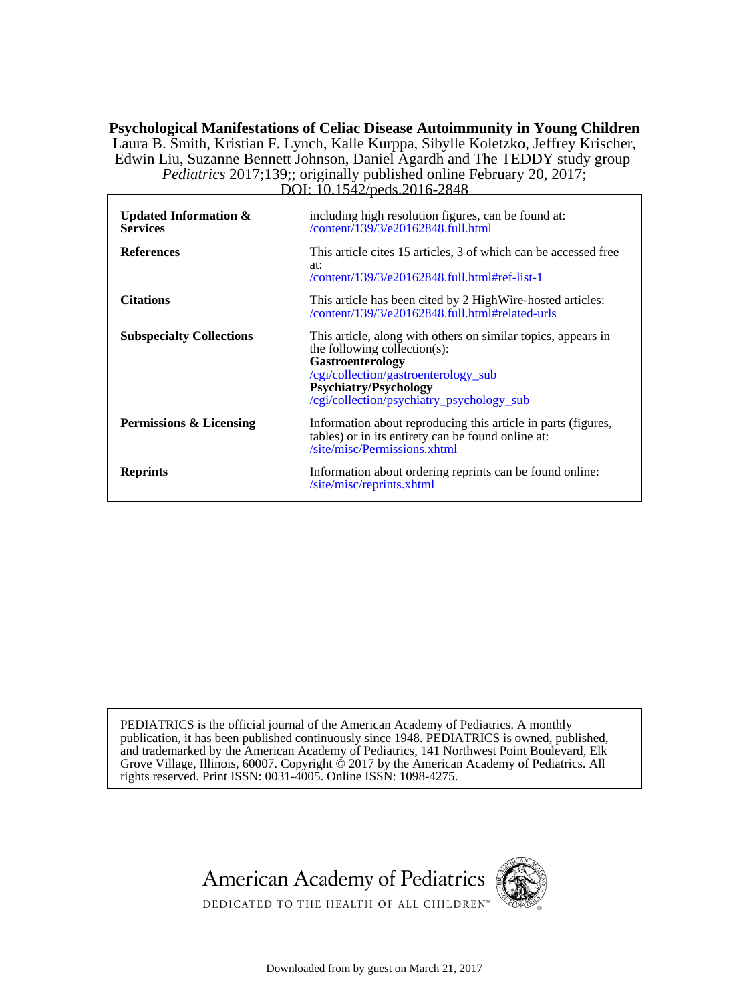DOI: 10.1542/peds.2016-2848 *Pediatrics* 2017;139;; originally published online February 20, 2017; Edwin Liu, Suzanne Bennett Johnson, Daniel Agardh and The TEDDY study group Laura B. Smith, Kristian F. Lynch, Kalle Kurppa, Sibylle Koletzko, Jeffrey Krischer, **Psychological Manifestations of Celiac Disease Autoimmunity in Young Children**

| <b>Updated Information &amp;</b><br><b>Services</b> | including high resolution figures, can be found at:<br>/content/139/3/e20162848.full.html                                                                                                                                              |
|-----------------------------------------------------|----------------------------------------------------------------------------------------------------------------------------------------------------------------------------------------------------------------------------------------|
| <b>References</b>                                   | This article cites 15 articles, 3 of which can be accessed free<br>at:<br>/content/139/3/e20162848.full.html#ref-list-1                                                                                                                |
| <b>Citations</b>                                    | This article has been cited by 2 High Wire-hosted articles:<br>/content/139/3/e20162848.full.html#related-urls                                                                                                                         |
| <b>Subspecialty Collections</b>                     | This article, along with others on similar topics, appears in<br>the following collection(s):<br>Gastroenterology<br>/cgi/collection/gastroenterology_sub<br><b>Psychiatry/Psychology</b><br>/cgi/collection/psychiatry_psychology_sub |
| Permissions & Licensing                             | Information about reproducing this article in parts (figures,<br>tables) or in its entirety can be found online at:<br>/site/misc/Permissions.xhtml                                                                                    |
| <b>Reprints</b>                                     | Information about ordering reprints can be found online:<br>/site/misc/reprints.xhtml                                                                                                                                                  |

rights reserved. Print ISSN: 0031-4005. Online ISSN: 1098-4275. Grove Village, Illinois, 60007. Copyright © 2017 by the American Academy of Pediatrics. All and trademarked by the American Academy of Pediatrics, 141 Northwest Point Boulevard, Elk publication, it has been published continuously since 1948. PEDIATRICS is owned, published, PEDIATRICS is the official journal of the American Academy of Pediatrics. A monthly





DEDICATED TO THE HEALTH OF ALL CHILDREN™